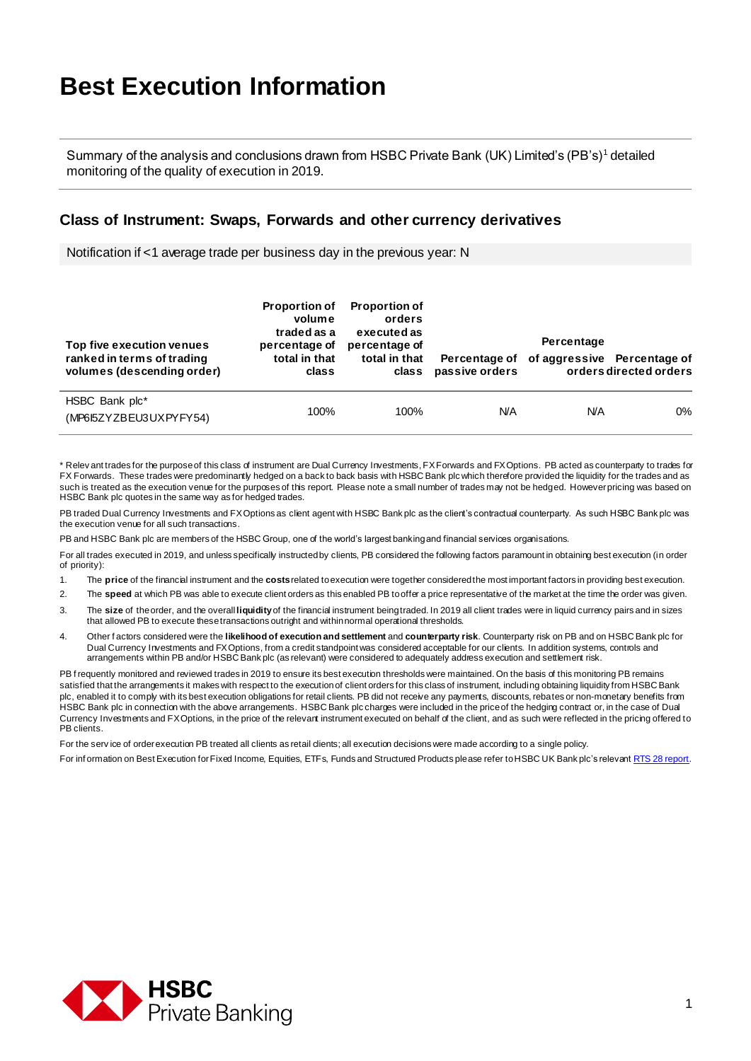## **Best Execution Information**

Summary of the analysis and conclusions drawn from HSBC Private Bank (UK) Limited's (PB's)<sup>1</sup> detailed monitoring of the quality of execution in 2019.

## **Class of Instrument: Swaps, Forwards and other currency derivatives**

Notification if <1 average trade per business day in the previous year: N

| Top five execution venues<br>ranked in terms of trading<br>volumes (descending order) | <b>Proportion of</b><br>volume<br>traded as a<br>percentage of<br>total in that<br>class | <b>Proportion of</b><br>orders<br>executed as<br>percentage of<br>total in that<br>class | Percentage of<br>passive orders | Percentage<br>of aggressive Percentage of | orders directed orders |
|---------------------------------------------------------------------------------------|------------------------------------------------------------------------------------------|------------------------------------------------------------------------------------------|---------------------------------|-------------------------------------------|------------------------|
| HSBC Bank plc*<br>(MP615ZYZBEU3UXPYFY54)                                              | 100%                                                                                     | 100%                                                                                     | <b>N/A</b>                      | N/A                                       | $0\%$                  |

\* Relev ant trades for the purpose of this class of instrument are Dual Currency Investments, FX Forwards and FX Options. PB acted as counterparty to trades for FX Forwards. These trades were predominantly hedged on a back to back basis with HSBC Bank plc which therefore provided the liquidity for the trades and as such is treated as the execution venue for the purposes of this report. Please note a small number of trades may not be hedged. However pricing was based on HSBC Bank plc quotes in the same way as for hedged trades.

PB traded Dual Currency Investments and FX Options as client agent with HSBC Bank plc as the client's contractual counterparty. As such HSBC Bank plc was the execution venue for all such transactions.

PB and HSBC Bank plc are members of the HSBC Group, one of the world's largest banking and financial services organisations.

For all trades executed in 2019, and unless specifically instructed by clients, PB considered the following factors paramount in obtaining best execution (in order of priority):

1. The **price** of the financial instrument and the **costs**related to execution were together considered the most important factors in providing best execution.

- 2. The **speed** at which PB was able to execute client orders as this enabled PB to offer a price representative of the market at the time the order was given.
- 3. The **size** of the order, and the overall **liquidity**of the financial instrument being traded. In 2019 all client trades were in liquid currency pairs and in sizes that allowed PB to execute these transactions outright and within normal operational thresholds.
- 4. Other f actors considered were the **likelihood of execution and settlement** and **counterparty risk**. Counterparty risk on PB and on HSBC Bank plc for Dual Currency Investments and FX Options, from a credit standpoint was considered acceptable for our clients. In addition systems, controls and arrangements within PB and/or HSBC Bank plc (as relevant) were considered to adequately address execution and settlement risk.

PB f requently monitored and reviewed trades in 2019 to ensure its best execution thresholds were maintained. On the basis of this monitoring PB remains satisfied that the arrangements it makes with respect to the execution of client orders for this class of instrument, including obtaining liquidity from HSBC Bank plc, enabled it to comply with its best execution obligations for retail clients. PB did not receive any payments, discounts, rebates or non-monetary benefits from HSBC Bank plc in connection with the above arrangements. HSBC Bank plc charges were included in the price of the hedging contract or, in the case of Dual Currency Investments and FX Options, in the price of the relevant instrument executed on behalf of the client, and as such were reflected in the pricing offered to PB clients.

For the serv ice of order execution PB treated all clients as retail clients; all execution decisions were made according to a single policy.

For inf ormation on Best Execution for Fixed Income, Equities, ETFs, Funds and Structured Products please refer to HSBC UK Bank plc's relevant [RTS 28 report](https://www.hsbcprivatebank.com/en/about-us/mifid-ii-best-execution).